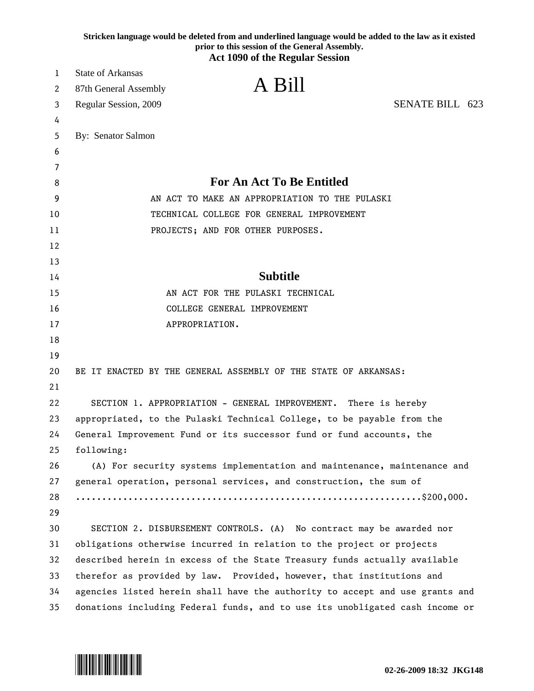|    | Stricken language would be deleted from and underlined language would be added to the law as it existed<br>prior to this session of the General Assembly.<br><b>Act 1090 of the Regular Session</b> |
|----|-----------------------------------------------------------------------------------------------------------------------------------------------------------------------------------------------------|
| 1  | <b>State of Arkansas</b>                                                                                                                                                                            |
| 2  | A Bill<br>87th General Assembly                                                                                                                                                                     |
| 3  | SENATE BILL 623<br>Regular Session, 2009                                                                                                                                                            |
| 4  |                                                                                                                                                                                                     |
| 5  | By: Senator Salmon                                                                                                                                                                                  |
| 6  |                                                                                                                                                                                                     |
| 7  |                                                                                                                                                                                                     |
| 8  | <b>For An Act To Be Entitled</b>                                                                                                                                                                    |
| 9  | AN ACT TO MAKE AN APPROPRIATION TO THE PULASKI                                                                                                                                                      |
| 10 | TECHNICAL COLLEGE FOR GENERAL IMPROVEMENT                                                                                                                                                           |
| 11 | PROJECTS; AND FOR OTHER PURPOSES.                                                                                                                                                                   |
| 12 |                                                                                                                                                                                                     |
| 13 |                                                                                                                                                                                                     |
| 14 | <b>Subtitle</b>                                                                                                                                                                                     |
| 15 | AN ACT FOR THE PULASKI TECHNICAL                                                                                                                                                                    |
| 16 | COLLEGE GENERAL IMPROVEMENT                                                                                                                                                                         |
| 17 | APPROPRIATION.                                                                                                                                                                                      |
| 18 |                                                                                                                                                                                                     |
| 19 |                                                                                                                                                                                                     |
| 20 | BE IT ENACTED BY THE GENERAL ASSEMBLY OF THE STATE OF ARKANSAS:                                                                                                                                     |
| 21 |                                                                                                                                                                                                     |
| 22 | SECTION 1. APPROPRIATION - GENERAL IMPROVEMENT. There is hereby                                                                                                                                     |
| 23 | appropriated, to the Pulaski Technical College, to be payable from the                                                                                                                              |
| 24 | General Improvement Fund or its successor fund or fund accounts, the                                                                                                                                |
| 25 | following:                                                                                                                                                                                          |
| 26 | (A) For security systems implementation and maintenance, maintenance and                                                                                                                            |
| 27 | general operation, personal services, and construction, the sum of                                                                                                                                  |
| 28 |                                                                                                                                                                                                     |
| 29 |                                                                                                                                                                                                     |
| 30 | SECTION 2. DISBURSEMENT CONTROLS. (A) No contract may be awarded nor                                                                                                                                |
| 31 | obligations otherwise incurred in relation to the project or projects                                                                                                                               |
| 32 | described herein in excess of the State Treasury funds actually available                                                                                                                           |
| 33 | therefor as provided by law. Provided, however, that institutions and                                                                                                                               |
| 34 | agencies listed herein shall have the authority to accept and use grants and                                                                                                                        |
| 35 | donations including Federal funds, and to use its unobligated cash income or                                                                                                                        |